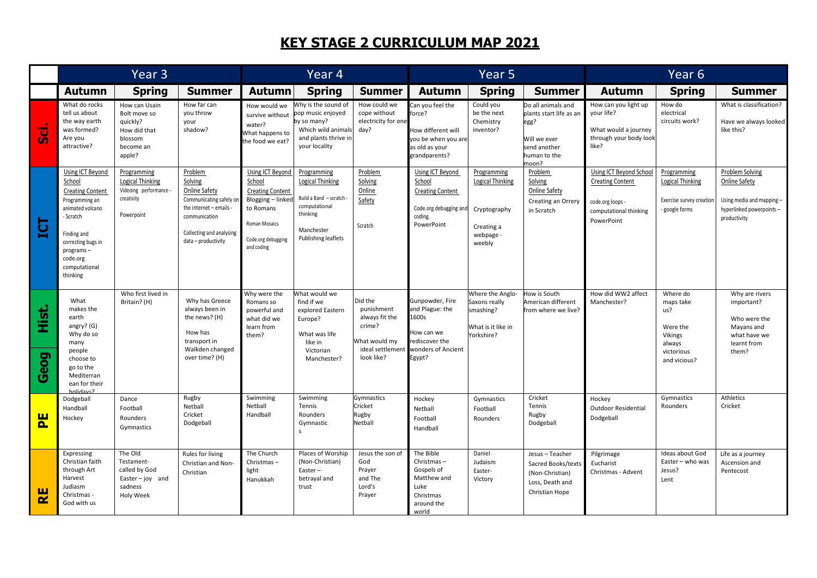## **KEY STAGE 2 CURRICULUM MAP 2021**

|                                   | Year <sub>3</sub>                                                                                                                                                                                   |                                                                                             |                                                                                                                                                               | Year 4                                                                                                                                              |                                                                                                                                    |                                                                                                      | Year <sub>5</sub>                                                                                          |                                                                                             |                                                                                                                | Year <sub>6</sub>                                                                                              |                                                                                             |                                                                                                                   |
|-----------------------------------|-----------------------------------------------------------------------------------------------------------------------------------------------------------------------------------------------------|---------------------------------------------------------------------------------------------|---------------------------------------------------------------------------------------------------------------------------------------------------------------|-----------------------------------------------------------------------------------------------------------------------------------------------------|------------------------------------------------------------------------------------------------------------------------------------|------------------------------------------------------------------------------------------------------|------------------------------------------------------------------------------------------------------------|---------------------------------------------------------------------------------------------|----------------------------------------------------------------------------------------------------------------|----------------------------------------------------------------------------------------------------------------|---------------------------------------------------------------------------------------------|-------------------------------------------------------------------------------------------------------------------|
|                                   | <b>Autumn</b>                                                                                                                                                                                       | <b>Spring</b>                                                                               | <b>Summer</b>                                                                                                                                                 | <b>Autumn</b>                                                                                                                                       | <b>Spring</b>                                                                                                                      | <b>Summer</b>                                                                                        | <b>Autumn</b>                                                                                              | <b>Spring</b>                                                                               | <b>Summer</b>                                                                                                  | <b>Autumn</b>                                                                                                  | <b>Spring</b>                                                                               | <b>Summer</b>                                                                                                     |
| <u>ូត</u>                         | What do rocks<br>tell us about<br>the way earth<br>was formed?<br>Are you<br>attractive?                                                                                                            | How can Usain<br>Bolt move so<br>quickly?<br>How did that<br>blossom<br>become an<br>apple? | How far can<br>you throw<br>your<br>shadow?                                                                                                                   | How would we<br>survive without<br>water?<br>What happens to<br>the food we eat?                                                                    | Why is the sound of<br>pop music enjoyed<br>by so many?<br>Which wild animals<br>and plants thrive in<br>your locality             | How could we<br>cope without<br>electricity for one<br>day?                                          | Can you feel the<br>force?<br>low different will<br>you be when you are<br>as old as your<br>grandparents? | Could you<br>be the next<br>Chemistry<br>inventor?                                          | Do all animals and<br>plants start life as ar<br>egg?<br>Will we ever<br>send another<br>human to the<br>moon? | How can you light up<br>your life?<br>What would a journey<br>through your body look<br>like?                  | How do<br>electrical<br>circuits work?                                                      | What is classification?<br>Have we always looked<br>like this?                                                    |
| $\overline{\overline{\mathbf{r}}$ | Using ICT Beyond<br>School<br><b>Creating Content</b><br>Programming an<br>animated volcano<br>- Scratch<br>Finding and<br>correcting bugs in<br>programs-<br>code.org<br>computational<br>thinking | Programming<br>Logical Thinking<br>Videoing performance<br>creativity<br>Powerpoint         | Problem<br>Solving<br>Online Safety<br>Communicating safely on<br>the internet - emails -<br>communication<br>Collecting and analysing<br>data - productivity | Using ICT Beyond<br>School<br><b>Creating Content</b><br>Blogging - linked<br>to Romans<br><b>Roman Mosaics</b><br>Code.org debugging<br>and coding | Programming<br><b>Logical Thinking</b><br>Build a Band - scratch<br>computational<br>thinking<br>Manchester<br>Publishing leaflets | Problem<br>Solving<br>Online<br>Safety<br>Scratch                                                    | Using ICT Beyond<br>School<br><b>Creating Content</b><br>Code.org debugging an<br>coding.<br>PowerPoint    | Programming<br><b>Logical Thinking</b><br>Cryptography<br>Creating a<br>webpage -<br>weebly | Problem<br>Solving<br><b>Online Safety</b><br>Creating an Orrery<br>in Scratch                                 | Using ICT Beyond School<br><b>Creating Content</b><br>code.org loops -<br>computational thinking<br>PowerPoint | Programming<br>Logical Thinking<br>Exercise survey creation<br>- google forms               | Problem Solving<br><b>Online Safety</b><br>Using media and mapping -<br>hyperlinked powerpoints -<br>productivity |
| <u>Hist.</u><br>Geog              | What<br>makes the<br>earth<br>angry? (G)<br>Why do so<br>many<br>people<br>choose to<br>go to the<br>Mediterran<br>ean for their<br>holidayon                                                       | Who first lived in<br>Britain? (H)                                                          | Why has Greece<br>always been in<br>the news? (H)<br>How has<br>transport in<br>Walkden changed<br>over time? (H)                                             | Why were the<br>Romans so<br>powerful and<br>what did we<br>learn from<br>them?                                                                     | What would we<br>find if we<br>explored Eastern<br>Europe?<br>What was life<br>like in<br>Victorian<br>Manchester?                 | Did the<br>punishment<br>always fit the<br>crime?<br>What would my<br>ideal settlement<br>look like? | Gunpowder, Fire<br>and Plague: the<br>1600s<br>How can we<br>ediscover the<br>wonders of Ancient<br>Egypt? | Where the Anglo-<br>Saxons really<br>smashing?<br>What is it like in<br>Yorkshire?          | How is South<br>American different<br>from where we live?                                                      | How did WW2 affect<br>Manchester?                                                                              | Where do<br>maps take<br>us?<br>Were the<br>Vikings<br>always<br>victorious<br>and vicious? | Why are rivers<br>important?<br>Who were the<br>Mayans and<br>what have we<br>learnt from<br>them?                |
| <u>ρ.</u>                         | Dodgeball<br>Handball<br>Hockey                                                                                                                                                                     | Dance<br>Football<br>Rounders<br>Gymnastics                                                 | Rugby<br>Netball<br>Cricket<br>Dodgeball                                                                                                                      | Swimming<br>Netball<br>Handball                                                                                                                     | Swimming<br>Tennis<br>Rounders<br>Gymnastic<br>$\mathbf{s}$                                                                        | Gymnastics<br>Cricket<br>Rugby<br>Netball                                                            | Hockey<br>Netball<br>Football<br>Handball                                                                  | Gymnastics<br>Football<br>Rounders                                                          | Cricket<br>Tennis<br>Rugby<br>Dodgeball                                                                        | Hockey<br><b>Outdoor Residential</b><br>Dodgeball                                                              | Gymnastics<br>Rounders                                                                      | Athletics<br>Cricket                                                                                              |
| $\mathbf{\alpha}$                 | Expressing<br>Christian faith<br>through Art<br>Harvest<br>Judiasm<br>Christmas -<br>God with us                                                                                                    | The Old<br>Testament-<br>called by God<br>Easter $-$ joy and<br>sadness<br>Holy Week        | Rules for living<br>Christian and Non-<br>Christian                                                                                                           | The Church<br>Christmas-<br>light<br>Hanukkah                                                                                                       | Places of Worship<br>(Non-Christian)<br>Easter-<br>betrayal and<br>trust                                                           | Jesus the son of<br>God<br>Prayer<br>and The<br>Lord's<br>Prayer                                     | The Bible<br>Christmas-<br>Gospels of<br>Matthew and<br>Luke<br>Christmas<br>around the<br>world           | Daniel<br>Judaism<br>Easter-<br>Victory                                                     | Jesus - Teacher<br>Sacred Books/texts<br>(Non-Christian)<br>Loss, Death and<br>Christian Hope                  | Pilgrimage<br>Eucharist<br>Christmas - Advent                                                                  | Ideas about God<br>Easter - who was<br>Jesus?<br>Lent                                       | Life as a journey<br>Ascension and<br>Pentecost                                                                   |